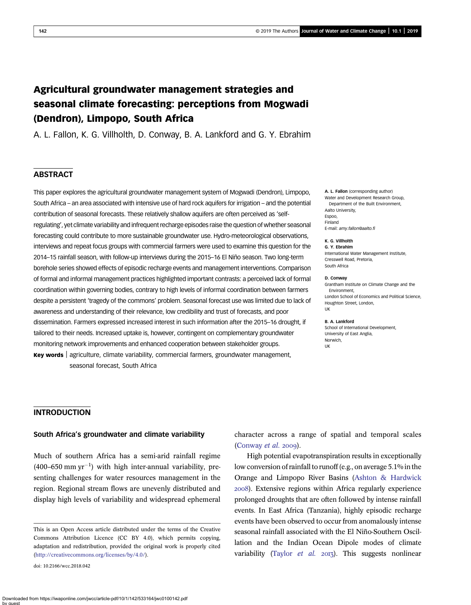# Agricultural groundwater management strategies and seasonal climate forecasting: perceptions from Mogwadi (Dendron), Limpopo, South Africa

A. L. Fallon, K. G. Villholth, D. Conway, B. A. Lankford and G. Y. Ebrahim

# **ABSTRACT**

This paper explores the agricultural groundwater management system of Mogwadi (Dendron), Limpopo, South Africa – an area associated with intensive use of hard rock aquifers for irrigation – and the potential contribution of seasonal forecasts. These relatively shallow aquifers are often perceived as 'selfregulating', yet climate variability and infrequent recharge episodes raise the question of whether seasonal forecasting could contribute to more sustainable groundwater use. Hydro-meteorological observations, interviews and repeat focus groups with commercial farmers were used to examine this question for the 2014–15 rainfall season, with follow-up interviews during the 2015–16 El Niño season. Two long-term borehole series showed effects of episodic recharge events and management interventions. Comparison of formal and informal management practices highlighted important contrasts: a perceived lack of formal coordination within governing bodies, contrary to high levels of informal coordination between farmers despite a persistent 'tragedy of the commons' problem. Seasonal forecast use was limited due to lack of awareness and understanding of their relevance, low credibility and trust of forecasts, and poor dissemination. Farmers expressed increased interest in such information after the 2015–16 drought, if tailored to their needs. Increased uptake is, however, contingent on complementary groundwater monitoring network improvements and enhanced cooperation between stakeholder groups. Key words agriculture, climate variability, commercial farmers, groundwater management, seasonal forecast, South Africa

#### A. L. Fallon (corresponding author) Water and Development Research Group, Department of the Built Environment, Aalto University, Espoo, Finland E-mail: [amy.fallon@aalto.](mailto:amy.fallon@aalto.fi)fi

K. G. Villholth G. Y. Ebrahim International Water Management Institute, Cresswell Road, Pretoria, South Africa

#### D. Conway

Grantham Institute on Climate Change and the Environment, London School of Economics and Political Science, Houghton Street, London, UK

#### B. A. Lankford

School of International Development. University of East Anglia, Norwich, UK

#### INTRODUCTION

# South Africa's groundwater and climate variability

Much of southern Africa has a semi-arid rainfall regime  $(400-650$  mm yr<sup>-1</sup>) with high inter-annual variability, presenting challenges for water resources management in the region. Regional stream flows are unevenly distributed and display high levels of variability and widespread ephemeral

doi: 10.2166/wcc.2018.042

Downloaded from https://iwaponline.com/jwcc/article-pdf/10/1/142/533164/jwc0100142.pdf by guest

character across a range of spatial and temporal scales ([Conway](#page-14-0)  $et$   $al.$  2009).

High potential evapotranspiration results in exceptionally low conversion of rainfall to runoff (e.g., on average 5.1% in the Orange and Limpopo River Basins ([Ashton & Hardwick](#page-13-0) ). Extensive regions within Africa regularly experience prolonged droughts that are often followed by intense rainfall events. In East Africa (Tanzania), highly episodic recharge events have been observed to occur from anomalously intense seasonal rainfall associated with the El Niño-Southern Oscillation and the Indian Ocean Dipole modes of climate variability [\(Taylor](#page-14-0) et al.  $2013$ ). This suggests nonlinear

This is an Open Access article distributed under the terms of the Creative Commons Attribution Licence (CC BY 4.0), which permits copying, adaptation and redistribution, provided the original work is properly cited ([http://creativecommons.org/licenses/by/4.0/\)](http://creativecommons.org/licenses/by/4.0/).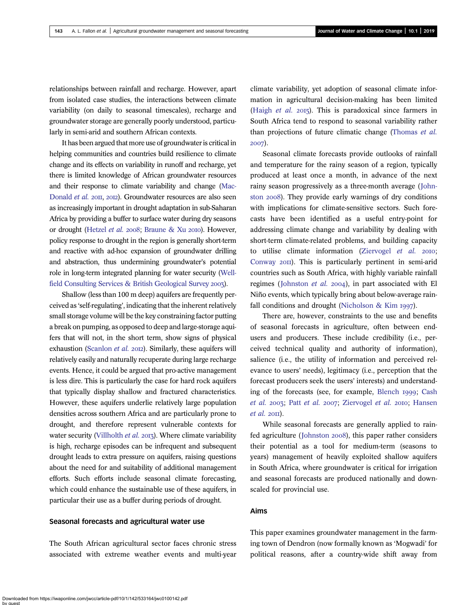relationships between rainfall and recharge. However, apart from isolated case studies, the interactions between climate variability (on daily to seasonal timescales), recharge and groundwater storage are generally poorly understood, particularly in semi-arid and southern African contexts.

It has been argued that more use of groundwater is critical in helping communities and countries build resilience to climate change and its effects on variability in runoff and recharge, yet there is limited knowledge of African groundwater resources and their response to climate variability and change [\(Mac-](#page-14-0)[Donald](#page-14-0) et al. 2011, 2012). Groundwater resources are also seen as increasingly important in drought adaptation in sub-Saharan Africa by providing a buffer to surface water during dry seasons or drought [\(Hetzel](#page-14-0) et al. 2008; [Braune & Xu](#page-13-0) 2010). However, policy response to drought in the region is generally short-term and reactive with ad-hoc expansion of groundwater drilling and abstraction, thus undermining groundwater's potential role in long-term integrated planning for water security [\(Well](#page-15-0)[field Consulting Services & British Geological Survey](#page-15-0) 2003).

Shallow (less than 100 m deep) aquifers are frequently perceived as 'self-regulating', indicating that the inherent relatively small storage volume will be the key constraining factor putting a break on pumping, as opposed to deep and large-storage aquifers that will not, in the short term, show signs of physical exhaustion ([Scanlon](#page-14-0) et al. 2012). Similarly, these aquifers will relatively easily and naturally recuperate during large recharge events. Hence, it could be argued that pro-active management is less dire. This is particularly the case for hard rock aquifers that typically display shallow and fractured characteristics. However, these aquifers underlie relatively large population densities across southern Africa and are particularly prone to drought, and therefore represent vulnerable contexts for water security [\(Villholth](#page-15-0) et al. 2013). Where climate variability is high, recharge episodes can be infrequent and subsequent drought leads to extra pressure on aquifers, raising questions about the need for and suitability of additional management efforts. Such efforts include seasonal climate forecasting, which could enhance the sustainable use of these aquifers, in particular their use as a buffer during periods of drought.

#### Seasonal forecasts and agricultural water use

The South African agricultural sector faces chronic stress associated with extreme weather events and multi-year climate variability, yet adoption of seasonal climate information in agricultural decision-making has been limited [\(Haigh](#page-14-0) *et al.*  $2015$ ). This is paradoxical since farmers in South Africa tend to respond to seasonal variability rather than projections of future climatic change [\(Thomas](#page-14-0) et al. 2007).

Seasonal climate forecasts provide outlooks of rainfall and temperature for the rainy season of a region, typically produced at least once a month, in advance of the next rainy season progressively as a three-month average ([John](#page-14-0)ston 2008). They provide early warnings of dry conditions with implications for climate-sensitive sectors. Such forecasts have been identified as a useful entry-point for addressing climate change and variability by dealing with short-term climate-related problems, and building capacity to utilise climate information ([Ziervogel](#page-15-0)  $et$   $al.$   $2010;$ [Conway](#page-14-0) 2011). This is particularly pertinent in semi-arid countries such as South Africa, with highly variable rainfall regimes ([Johnston](#page-14-0) *et al.* 2004), in part associated with El Niño events, which typically bring about below-average rain-fall conditions and drought [\(Nicholson & Kim](#page-14-0)  $1997$ ).

There are, however, constraints to the use and benefits of seasonal forecasts in agriculture, often between endusers and producers. These include credibility (i.e., perceived technical quality and authority of information), salience (i.e., the utility of information and perceived relevance to users' needs), legitimacy (i.e., perception that the forecast producers seek the users' interests) and understand-ing of the forecasts (see, for example, [Blench](#page-13-0) 1999; [Cash](#page-14-0) [et al.](#page-14-0) 2003; Patt et al. 2007; [Ziervogel](#page-15-0) et al. 2010; [Hansen](#page-14-0)  $et$  al. 20 $\Pi$ ).

While seasonal forecasts are generally applied to rain-fed agriculture ([Johnston](#page-14-0) 2008), this paper rather considers their potential as a tool for medium-term (seasons to years) management of heavily exploited shallow aquifers in South Africa, where groundwater is critical for irrigation and seasonal forecasts are produced nationally and downscaled for provincial use.

# Aims

This paper examines groundwater management in the farming town of Dendron (now formally known as 'Mogwadi' for political reasons, after a country-wide shift away from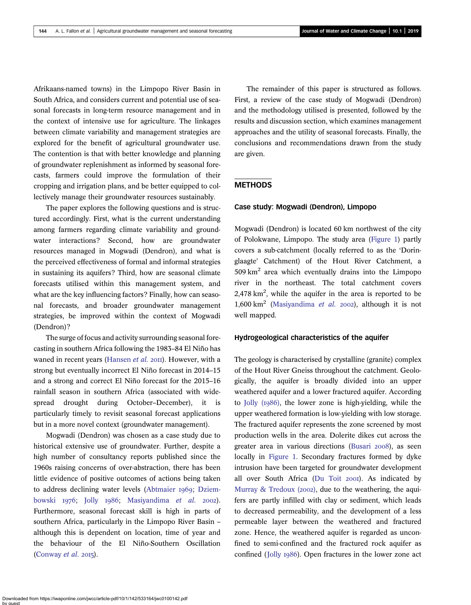Afrikaans-named towns) in the Limpopo River Basin in South Africa, and considers current and potential use of seasonal forecasts in long-term resource management and in the context of intensive use for agriculture. The linkages between climate variability and management strategies are explored for the benefit of agricultural groundwater use. The contention is that with better knowledge and planning of groundwater replenishment as informed by seasonal forecasts, farmers could improve the formulation of their cropping and irrigation plans, and be better equipped to collectively manage their groundwater resources sustainably.

The paper explores the following questions and is structured accordingly. First, what is the current understanding among farmers regarding climate variability and groundwater interactions? Second, how are groundwater resources managed in Mogwadi (Dendron), and what is the perceived effectiveness of formal and informal strategies in sustaining its aquifers? Third, how are seasonal climate forecasts utilised within this management system, and what are the key influencing factors? Finally, how can seasonal forecasts, and broader groundwater management strategies, be improved within the context of Mogwadi (Dendron)?

The surge of focus and activity surrounding seasonal forecasting in southern Africa following the 1983–84 El Niño has waned in recent years [\(Hansen](#page-14-0) et al. 2011). However, with a strong but eventually incorrect El Niño forecast in 2014–15 and a strong and correct El Niño forecast for the 2015–16 rainfall season in southern Africa (associated with widespread drought during October–December), it is particularly timely to revisit seasonal forecast applications but in a more novel context (groundwater management).

Mogwadi (Dendron) was chosen as a case study due to historical extensive use of groundwater. Further, despite a high number of consultancy reports published since the 1960s raising concerns of over-abstraction, there has been little evidence of positive outcomes of actions being taken to address declining water levels [\(Abtmaier](#page-13-0) 1969; [Dziem](#page-14-0)[bowski](#page-14-0) 1976; [Jolly](#page-14-0) 1986; [Masiyandima](#page-14-0) et al. 2002). Furthermore, seasonal forecast skill is high in parts of southern Africa, particularly in the Limpopo River Basin – although this is dependent on location, time of year and the behaviour of the El Niño-Southern Oscillation ([Conway](#page-14-0)  $et$   $al.$  2015).

The remainder of this paper is structured as follows. First, a review of the case study of Mogwadi (Dendron) and the methodology utilised is presented, followed by the results and discussion section, which examines management approaches and the utility of seasonal forecasts. Finally, the conclusions and recommendations drawn from the study are given.

# **METHODS**

# Case study: Mogwadi (Dendron), Limpopo

Mogwadi (Dendron) is located 60 km northwest of the city of Polokwane, Limpopo. The study area [\(Figure 1\)](#page-3-0) partly covers a sub-catchment (locally referred to as the 'Doringlaagte' Catchment) of the Hout River Catchment, a  $509 \text{ km}^2$  area which eventually drains into the Limpopo river in the northeast. The total catchment covers  $2,478$  km<sup>2</sup>, while the aquifer in the area is reported to be 1,600 km<sup>2</sup> ([Masiyandima](#page-14-0) *et al.* 2002), although it is not well mapped.

# Hydrogeological characteristics of the aquifer

The geology is characterised by crystalline (granite) complex of the Hout River Gneiss throughout the catchment. Geologically, the aquifer is broadly divided into an upper weathered aquifer and a lower fractured aquifer. According to [Jolly \(](#page-14-0)1986), the lower zone is high-yielding, while the upper weathered formation is low-yielding with low storage. The fractured aquifer represents the zone screened by most production wells in the area. Dolerite dikes cut across the greater area in various directions [\(Busari](#page-13-0) 2008), as seen locally in [Figure 1](#page-3-0). Secondary fractures formed by dyke intrusion have been targeted for groundwater development all over South Africa [\(Du Toit](#page-14-0) 2001). As indicated by Murray & Tredoux  $(2002)$ , due to the weathering, the aquifers are partly infilled with clay or sediment, which leads to decreased permeability, and the development of a less permeable layer between the weathered and fractured zone. Hence, the weathered aquifer is regarded as unconfined to semi-confined and the fractured rock aquifer as confined ([Jolly](#page-14-0) 1986). Open fractures in the lower zone act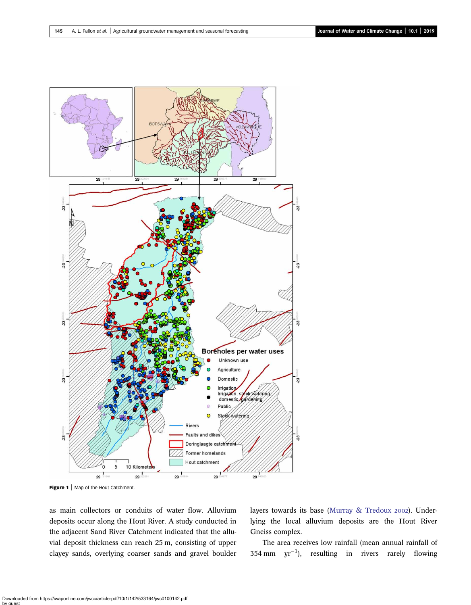<span id="page-3-0"></span>

Figure 1 | Map of the Hout Catchment.

as main collectors or conduits of water flow. Alluvium deposits occur along the Hout River. A study conducted in the adjacent Sand River Catchment indicated that the alluvial deposit thickness can reach 25 m, consisting of upper clayey sands, overlying coarser sands and gravel boulder layers towards its base [\(Murray & Tredoux](#page-14-0) 2002). Underlying the local alluvium deposits are the Hout River Gneiss complex.

The area receives low rainfall (mean annual rainfall of  $354 \text{ mm}$  yr<sup>-1</sup>), resulting in rivers rarely flowing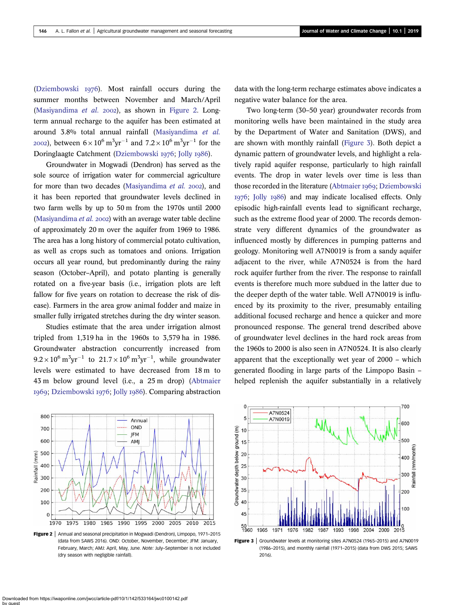([Dziembowski](#page-14-0)  $1976$ ). Most rainfall occurs during the summer months between November and March/April ([Masiyandima](#page-14-0) et al. 2002), as shown in Figure 2. Longterm annual recharge to the aquifer has been estimated at around 3.8% total annual rainfall [\(Masiyandima](#page-14-0) et al. 2002), between  $6 \times 10^6 \,\mathrm{m^3 yr^{-1}}$  and  $7.2 \times 10^6 \,\mathrm{m^3 yr^{-1}}$  for the Doringlaagte Catchment ([Dziembowski](#page-14-0) 1976; [Jolly](#page-14-0) 1986).

Groundwater in Mogwadi (Dendron) has served as the sole source of irrigation water for commercial agriculture for more than two decades [\(Masiyandima](#page-14-0) et al. 2002), and it has been reported that groundwater levels declined in two farm wells by up to 50 m from the 1970s until 2000 [\(Masiyandima](#page-14-0) et al. 2002) with an average water table decline of approximately 20 m over the aquifer from 1969 to 1986. The area has a long history of commercial potato cultivation, as well as crops such as tomatoes and onions. Irrigation occurs all year round, but predominantly during the rainy season (October–April), and potato planting is generally rotated on a five-year basis (i.e., irrigation plots are left fallow for five years on rotation to decrease the risk of disease). Farmers in the area grow animal fodder and maize in smaller fully irrigated stretches during the dry winter season.

Studies estimate that the area under irrigation almost tripled from 1,319 ha in the 1960s to 3,579 ha in 1986. Groundwater abstraction concurrently increased from  $9.2 \times 10^6 \,\mathrm{m}^3 \mathrm{yr}^{-1}$  to  $21.7 \times 10^6 \,\mathrm{m}^3 \mathrm{yr}^{-1}$ , while groundwater levels were estimated to have decreased from 18 m to 43 m below ground level (i.e., a 25 m drop) ([Abtmaier](#page-13-0) 1969; [Dziembowski](#page-14-0) 1976; [Jolly](#page-14-0) 1986). Comparing abstraction data with the long-term recharge estimates above indicates a negative water balance for the area.

Two long-term (30–50 year) groundwater records from monitoring wells have been maintained in the study area by the Department of Water and Sanitation (DWS), and are shown with monthly rainfall (Figure 3). Both depict a dynamic pattern of groundwater levels, and highlight a relatively rapid aquifer response, particularly to high rainfall events. The drop in water levels over time is less than those recorded in the literature ([Abtmaier](#page-13-0) 1969; [Dziembowski](#page-14-0) 1976; Jolly 1986) and may indicate localised effects. Only episodic high-rainfall events lead to significant recharge, such as the extreme flood year of 2000. The records demonstrate very different dynamics of the groundwater as influenced mostly by differences in pumping patterns and geology. Monitoring well A7N0019 is from a sandy aquifer adjacent to the river, while A7N0524 is from the hard rock aquifer further from the river. The response to rainfall events is therefore much more subdued in the latter due to the deeper depth of the water table. Well A7N0019 is influenced by its proximity to the river, presumably entailing additional focused recharge and hence a quicker and more pronounced response. The general trend described above of groundwater level declines in the hard rock areas from the 1960s to 2000 is also seen in A7N0524. It is also clearly apparent that the exceptionally wet year of 2000 – which generated flooding in large parts of the Limpopo Basin – helped replenish the aquifer substantially in a relatively



Figure 2 | Annual and seasonal precipitation in Mogwadi (Dendron), Limpopo, 1971-2015 (data from SAWS 2016). OND: October, November, December; JFM: January, February, March; AMJ: April, May, June. Note: July–September is not included (dry season with negligible rainfall).



Figure 3 | Groundwater levels at monitoring sites A7N0524 (1965-2015) and A7N0019 (1986–2015), and monthly rainfall (1971–2015) (data from DWS 2015; SAWS 2016).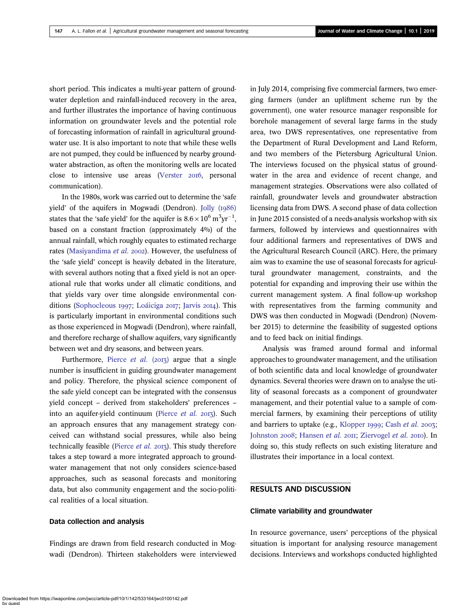short period. This indicates a multi-year pattern of groundwater depletion and rainfall-induced recovery in the area, and further illustrates the importance of having continuous information on groundwater levels and the potential role of forecasting information of rainfall in agricultural groundwater use. It is also important to note that while these wells are not pumped, they could be influenced by nearby groundwater abstraction, as often the monitoring wells are located close to intensive use areas ([Verster](#page-15-0) 2016, personal communication).

In the 1980s, work was carried out to determine the 'safe yield' of the aquifers in Mogwadi (Dendron). Jolly  $(1986)$ states that the 'safe yield' for the aquifer is  $8.6 \times 10^6$  m<sup>3</sup>yr<sup>-1</sup>, based on a constant fraction (approximately 4%) of the annual rainfall, which roughly equates to estimated recharge rates [\(Masiyandima](#page-14-0) et al. 2002). However, the usefulness of the 'safe yield' concept is heavily debated in the literature, with several authors noting that a fixed yield is not an operational rule that works under all climatic conditions, and that yields vary over time alongside environmental con-ditions [\(Sophocleous](#page-14-0) 1997; [Loáiciga](#page-14-0) 2017; [Jarvis](#page-14-0) 2014). This is particularly important in environmental conditions such as those experienced in Mogwadi (Dendron), where rainfall, and therefore recharge of shallow aquifers, vary significantly between wet and dry seasons, and between years.

Furthermore, [Pierce](#page-14-0) et al.  $(2013)$  argue that a single number is insufficient in guiding groundwater management and policy. Therefore, the physical science component of the safe yield concept can be integrated with the consensus yield concept – derived from stakeholders' preferences – into an aquifer-yield continuum ([Pierce](#page-14-0) et al. 2013). Such an approach ensures that any management strategy conceived can withstand social pressures, while also being technically feasible ([Pierce](#page-14-0)  $et$  al. 2013). This study therefore takes a step toward a more integrated approach to groundwater management that not only considers science-based approaches, such as seasonal forecasts and monitoring data, but also community engagement and the socio-political realities of a local situation.

#### Data collection and analysis

Findings are drawn from field research conducted in Mogwadi (Dendron). Thirteen stakeholders were interviewed in July 2014, comprising five commercial farmers, two emerging farmers (under an upliftment scheme run by the government), one water resource manager responsible for borehole management of several large farms in the study area, two DWS representatives, one representative from the Department of Rural Development and Land Reform, and two members of the Pietersburg Agricultural Union. The interviews focused on the physical status of groundwater in the area and evidence of recent change, and management strategies. Observations were also collated of rainfall, groundwater levels and groundwater abstraction licensing data from DWS. A second phase of data collection in June 2015 consisted of a needs-analysis workshop with six farmers, followed by interviews and questionnaires with four additional farmers and representatives of DWS and the Agricultural Research Council (ARC). Here, the primary aim was to examine the use of seasonal forecasts for agricultural groundwater management, constraints, and the potential for expanding and improving their use within the current management system. A final follow-up workshop with representatives from the farming community and DWS was then conducted in Mogwadi (Dendron) (November 2015) to determine the feasibility of suggested options and to feed back on initial findings.

Analysis was framed around formal and informal approaches to groundwater management, and the utilisation of both scientific data and local knowledge of groundwater dynamics. Several theories were drawn on to analyse the utility of seasonal forecasts as a component of groundwater management, and their potential value to a sample of commercial farmers, by examining their perceptions of utility and barriers to uptake (e.g., [Klopper](#page-14-0) 1999; [Cash](#page-14-0) et al. 2003; [Johnston](#page-14-0) 2008; [Hansen](#page-14-0) et al. 2011; [Ziervogel](#page-15-0) et al. 2010). In doing so, this study reflects on such existing literature and illustrates their importance in a local context.

# RESULTS AND DISCUSSION

### Climate variability and groundwater

In resource governance, users' perceptions of the physical situation is important for analysing resource management decisions. Interviews and workshops conducted highlighted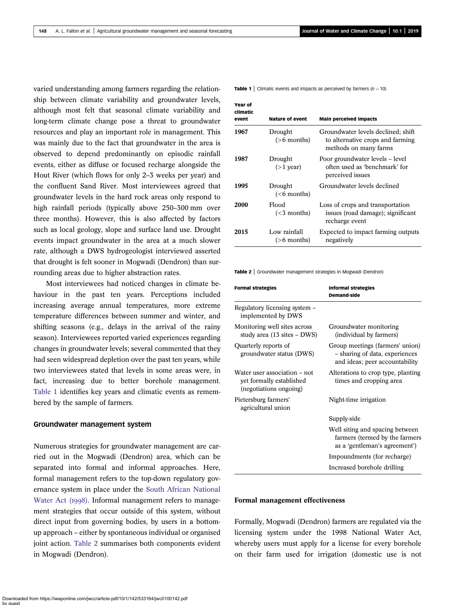varied understanding among farmers regarding the relationship between climate variability and groundwater levels, although most felt that seasonal climate variability and long-term climate change pose a threat to groundwater resources and play an important role in management. This was mainly due to the fact that groundwater in the area is observed to depend predominantly on episodic rainfall events, either as diffuse or focused recharge alongside the Hout River (which flows for only 2–3 weeks per year) and the confluent Sand River. Most interviewees agreed that groundwater levels in the hard rock areas only respond to high rainfall periods (typically above 250–300 mm over three months). However, this is also affected by factors such as local geology, slope and surface land use. Drought events impact groundwater in the area at a much slower rate, although a DWS hydrogeologist interviewed asserted that drought is felt sooner in Mogwadi (Dendron) than surrounding areas due to higher abstraction rates.

Most interviewees had noticed changes in climate behaviour in the past ten years. Perceptions included increasing average annual temperatures, more extreme temperature differences between summer and winter, and shifting seasons (e.g., delays in the arrival of the rainy season). Interviewees reported varied experiences regarding changes in groundwater levels; several commented that they had seen widespread depletion over the past ten years, while two interviewees stated that levels in some areas were, in fact, increasing due to better borehole management. Table 1 identifies key years and climatic events as remembered by the sample of farmers.

#### Groundwater management system

Numerous strategies for groundwater management are carried out in the Mogwadi (Dendron) area, which can be separated into formal and informal approaches. Here, formal management refers to the top-down regulatory governance system in place under the [South African National](#page-14-0) [Water Act \(](#page-14-0)1998). Informal management refers to management strategies that occur outside of this system, without direct input from governing bodies, by users in a bottomup approach – either by spontaneous individual or organised joint action. Table 2 summarises both components evident in Mogwadi (Dendron).

**Table 1** | Climatic events and impacts as perceived by farmers ( $n = 10$ )

| <b>Year of</b><br>climatic<br>event | <b>Nature of event</b>            | <b>Main perceived impacts</b>                                                                   |
|-------------------------------------|-----------------------------------|-------------------------------------------------------------------------------------------------|
| 1967                                | Drought<br>$(>6$ months)          | Groundwater levels declined; shift<br>to alternative crops and farming<br>methods on many farms |
| 1987                                | Drought<br>$(>1$ year)            | Poor groundwater levels – level<br>often used as 'benchmark' for<br>perceived issues            |
| 1995                                | Drought<br>( <sub>6</sub> months) | Groundwater levels declined                                                                     |
| 2000                                | Flood<br>( <sub>3</sub> months)   | Loss of crops and transportation<br>issues (road damage); significant<br>recharge event         |
| 2015                                | Low rainfall<br>$(>6$ months)     | Expected to impact farming outputs<br>negatively                                                |

Table 2 | Groundwater management strategies in Mogwadi (Dendron)

| <b>Formal strategies</b>                                                           | <b>Informal strategies</b><br><b>Demand-side</b>                                                    |  |
|------------------------------------------------------------------------------------|-----------------------------------------------------------------------------------------------------|--|
| Regulatory licensing system –<br>implemented by DWS                                |                                                                                                     |  |
| Monitoring well sites across<br>study area (13 sites - DWS)                        | Groundwater monitoring<br>(individual by farmers)                                                   |  |
| Quarterly reports of<br>groundwater status (DWS)                                   | Group meetings (farmers' union)<br>- sharing of data, experiences<br>and ideas; peer accountability |  |
| Water user association – not<br>yet formally established<br>(negotiations ongoing) | Alterations to crop type, planting<br>times and cropping area                                       |  |
| Pietersburg farmers'<br>agricultural union                                         | Night-time irrigation                                                                               |  |
|                                                                                    | Supply-side                                                                                         |  |
|                                                                                    | Well siting and spacing between<br>farmers (termed by the farmers<br>as a 'gentleman's agreement')  |  |
|                                                                                    | Impoundments (for recharge)                                                                         |  |
|                                                                                    | Increased borehole drilling                                                                         |  |

### Formal management effectiveness

Formally, Mogwadi (Dendron) farmers are regulated via the licensing system under the 1998 National Water Act, whereby users must apply for a license for every borehole on their farm used for irrigation (domestic use is not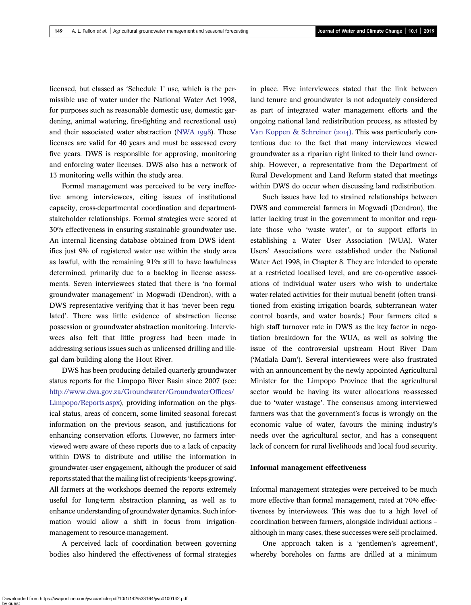licensed, but classed as 'Schedule 1' use, which is the permissible use of water under the National Water Act 1998, for purposes such as reasonable domestic use, domestic gardening, animal watering, fire-fighting and recreational use) and their associated water abstraction ([NWA](#page-14-0) 1998). These licenses are valid for 40 years and must be assessed every five years. DWS is responsible for approving, monitoring and enforcing water licenses. DWS also has a network of 13 monitoring wells within the study area.

Formal management was perceived to be very ineffective among interviewees, citing issues of institutional capacity, cross-departmental coordination and departmentstakeholder relationships. Formal strategies were scored at 30% effectiveness in ensuring sustainable groundwater use. An internal licensing database obtained from DWS identifies just 9% of registered water use within the study area as lawful, with the remaining 91% still to have lawfulness determined, primarily due to a backlog in license assessments. Seven interviewees stated that there is 'no formal groundwater management' in Mogwadi (Dendron), with a DWS representative verifying that it has 'never been regulated'. There was little evidence of abstraction license possession or groundwater abstraction monitoring. Interviewees also felt that little progress had been made in addressing serious issues such as unlicensed drilling and illegal dam-building along the Hout River.

DWS has been producing detailed quarterly groundwater status reports for the Limpopo River Basin since 2007 (see: [http://www.dwa.gov.za/Groundwater/GroundwaterOf](http://www.dwa.gov.za/Groundwater/GroundwaterOffices/Limpopo/Reports.aspx)fices/ [Limpopo/Reports.aspx](http://www.dwa.gov.za/Groundwater/GroundwaterOffices/Limpopo/Reports.aspx)), providing information on the physical status, areas of concern, some limited seasonal forecast information on the previous season, and justifications for enhancing conservation efforts. However, no farmers interviewed were aware of these reports due to a lack of capacity within DWS to distribute and utilise the information in groundwater-user engagement, although the producer of said reports stated that the mailing list of recipients 'keeps growing'. All farmers at the workshops deemed the reports extremely useful for long-term abstraction planning, as well as to enhance understanding of groundwater dynamics. Such information would allow a shift in focus from irrigationmanagement to resource-management.

A perceived lack of coordination between governing bodies also hindered the effectiveness of formal strategies

in place. Five interviewees stated that the link between land tenure and groundwater is not adequately considered as part of integrated water management efforts and the ongoing national land redistribution process, as attested by [Van Koppen & Schreiner \(](#page-15-0)2014). This was particularly contentious due to the fact that many interviewees viewed groundwater as a riparian right linked to their land ownership. However, a representative from the Department of Rural Development and Land Reform stated that meetings within DWS do occur when discussing land redistribution.

Such issues have led to strained relationships between DWS and commercial farmers in Mogwadi (Dendron), the latter lacking trust in the government to monitor and regulate those who 'waste water', or to support efforts in establishing a Water User Association (WUA). Water Users' Associations were established under the National Water Act 1998, in Chapter 8. They are intended to operate at a restricted localised level, and are co-operative associations of individual water users who wish to undertake water-related activities for their mutual benefit (often transitioned from existing irrigation boards, subterranean water control boards, and water boards.) Four farmers cited a high staff turnover rate in DWS as the key factor in negotiation breakdown for the WUA, as well as solving the issue of the controversial upstream Hout River Dam ('Matlala Dam'). Several interviewees were also frustrated with an announcement by the newly appointed Agricultural Minister for the Limpopo Province that the agricultural sector would be having its water allocations re-assessed due to 'water wastage'. The consensus among interviewed farmers was that the government's focus is wrongly on the economic value of water, favours the mining industry's needs over the agricultural sector, and has a consequent lack of concern for rural livelihoods and local food security.

#### Informal management effectiveness

Informal management strategies were perceived to be much more effective than formal management, rated at 70% effectiveness by interviewees. This was due to a high level of coordination between farmers, alongside individual actions – although in many cases, these successes were self-proclaimed.

One approach taken is a 'gentlemen's agreement', whereby boreholes on farms are drilled at a minimum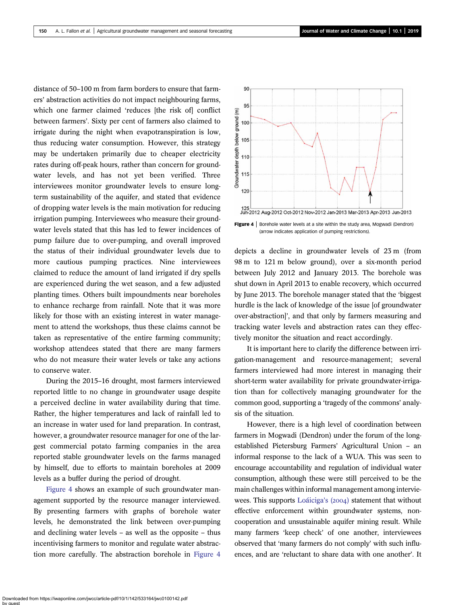distance of 50–100 m from farm borders to ensure that farmers' abstraction activities do not impact neighbouring farms, which one farmer claimed 'reduces [the risk of] conflict between farmers'. Sixty per cent of farmers also claimed to irrigate during the night when evapotranspiration is low, thus reducing water consumption. However, this strategy may be undertaken primarily due to cheaper electricity rates during off-peak hours, rather than concern for groundwater levels, and has not yet been verified. Three interviewees monitor groundwater levels to ensure longterm sustainability of the aquifer, and stated that evidence of dropping water levels is the main motivation for reducing irrigation pumping. Interviewees who measure their groundwater levels stated that this has led to fewer incidences of pump failure due to over-pumping, and overall improved the status of their individual groundwater levels due to more cautious pumping practices. Nine interviewees claimed to reduce the amount of land irrigated if dry spells are experienced during the wet season, and a few adjusted planting times. Others built impoundments near boreholes to enhance recharge from rainfall. Note that it was more likely for those with an existing interest in water management to attend the workshops, thus these claims cannot be taken as representative of the entire farming community; workshop attendees stated that there are many farmers who do not measure their water levels or take any actions to conserve water.

During the 2015–16 drought, most farmers interviewed reported little to no change in groundwater usage despite a perceived decline in water availability during that time. Rather, the higher temperatures and lack of rainfall led to an increase in water used for land preparation. In contrast, however, a groundwater resource manager for one of the largest commercial potato farming companies in the area reported stable groundwater levels on the farms managed by himself, due to efforts to maintain boreholes at 2009 levels as a buffer during the period of drought.

Figure 4 shows an example of such groundwater management supported by the resource manager interviewed. By presenting farmers with graphs of borehole water levels, he demonstrated the link between over-pumping and declining water levels – as well as the opposite – thus incentivising farmers to monitor and regulate water abstraction more carefully. The abstraction borehole in Figure 4



**Figure 4** | Borehole water levels at a site within the study area, Mogwadi (Dendron) (arrow indicates application of pumping restrictions).

depicts a decline in groundwater levels of 23 m (from 98 m to 121 m below ground), over a six-month period between July 2012 and January 2013. The borehole was shut down in April 2013 to enable recovery, which occurred by June 2013. The borehole manager stated that the 'biggest hurdle is the lack of knowledge of the issue [of groundwater over-abstraction]', and that only by farmers measuring and tracking water levels and abstraction rates can they effectively monitor the situation and react accordingly.

It is important here to clarify the difference between irrigation-management and resource-management; several farmers interviewed had more interest in managing their short-term water availability for private groundwater-irrigation than for collectively managing groundwater for the common good, supporting a 'tragedy of the commons' analysis of the situation.

However, there is a high level of coordination between farmers in Mogwadi (Dendron) under the forum of the longestablished Pietersburg Farmers' Agricultural Union – an informal response to the lack of a WUA. This was seen to encourage accountability and regulation of individual water consumption, although these were still perceived to be the main challenges within informal management among intervie-wees. This supports [Loáiciga](#page-14-0)'s (2004) statement that without effective enforcement within groundwater systems, noncooperation and unsustainable aquifer mining result. While many farmers 'keep check' of one another, interviewees observed that 'many farmers do not comply' with such influences, and are 'reluctant to share data with one another'. It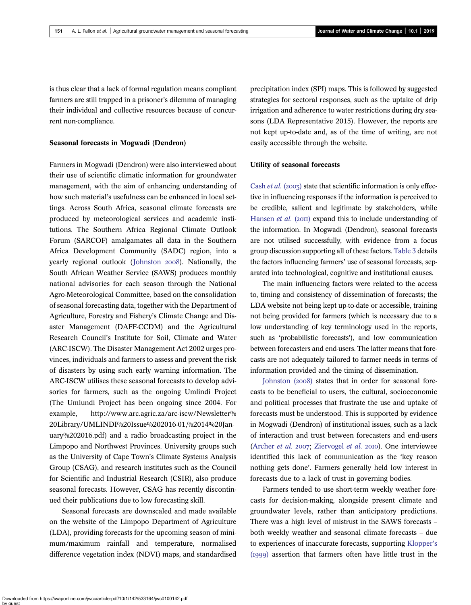is thus clear that a lack of formal regulation means compliant farmers are still trapped in a prisoner's dilemma of managing their individual and collective resources because of concurrent non-compliance.

# Seasonal forecasts in Mogwadi (Dendron)

Farmers in Mogwadi (Dendron) were also interviewed about their use of scientific climatic information for groundwater management, with the aim of enhancing understanding of how such material's usefulness can be enhanced in local settings. Across South Africa, seasonal climate forecasts are produced by meteorological services and academic institutions. The Southern Africa Regional Climate Outlook Forum (SARCOF) amalgamates all data in the Southern Africa Development Community (SADC) region, into a yearly regional outlook ([Johnston](#page-14-0) 2008). Nationally, the South African Weather Service (SAWS) produces monthly national advisories for each season through the National Agro-Meteorological Committee, based on the consolidation of seasonal forecasting data, together with the Department of Agriculture, Forestry and Fishery's Climate Change and Disaster Management (DAFF-CCDM) and the Agricultural Research Council's Institute for Soil, Climate and Water (ARC-ISCW). The Disaster Management Act 2002 urges provinces, individuals and farmers to assess and prevent the risk of disasters by using such early warning information. The ARC-ISCW utilises these seasonal forecasts to develop advisories for farmers, such as the ongoing Umlindi Project (The Umlundi Project has been ongoing since 2004. For example, http://www.arc.agric.za/arc-iscw/Newsletter% 20Library/UMLINDI%20Issue%202016-01,%2014%20January%202016.pdf) and a radio broadcasting project in the Limpopo and Northwest Provinces. University groups such as the University of Cape Town's Climate Systems Analysis Group (CSAG), and research institutes such as the Council for Scientific and Industrial Research (CSIR), also produce seasonal forecasts. However, CSAG has recently discontinued their publications due to low forecasting skill.

Seasonal forecasts are downscaled and made available on the website of the Limpopo Department of Agriculture (LDA), providing forecasts for the upcoming season of minimum/maximum rainfall and temperature, normalised difference vegetation index (NDVI) maps, and standardised

precipitation index (SPI) maps. This is followed by suggested strategies for sectoral responses, such as the uptake of drip irrigation and adherence to water restrictions during dry seasons (LDA Representative 2015). However, the reports are not kept up-to-date and, as of the time of writing, are not easily accessible through the website.

#### Utility of seasonal forecasts

[Cash](#page-14-0) *et al.* (2003) state that scientific information is only effective in influencing responses if the information is perceived to be credible, salient and legitimate by stakeholders, while [Hansen](#page-14-0) *et al.* ( $20\text{H}$ ) expand this to include understanding of the information. In Mogwadi (Dendron), seasonal forecasts are not utilised successfully, with evidence from a focus group discussion supporting all of these factors. [Table 3](#page-10-0) details the factors influencing farmers' use of seasonal forecasts, separated into technological, cognitive and institutional causes.

The main influencing factors were related to the access to, timing and consistency of dissemination of forecasts; the LDA website not being kept up-to-date or accessible, training not being provided for farmers (which is necessary due to a low understanding of key terminology used in the reports, such as 'probabilistic forecasts'), and low communication between forecasters and end-users. The latter means that forecasts are not adequately tailored to farmer needs in terms of information provided and the timing of dissemination.

Johnston  $(2008)$  states that in order for seasonal forecasts to be beneficial to users, the cultural, socioeconomic and political processes that frustrate the use and uptake of forecasts must be understood. This is supported by evidence in Mogwadi (Dendron) of institutional issues, such as a lack of interaction and trust between forecasters and end-users [\(Archer](#page-13-0) et al. 2007; [Ziervogel](#page-15-0) et al. 2010). One interviewee identified this lack of communication as the 'key reason nothing gets done'. Farmers generally held low interest in forecasts due to a lack of trust in governing bodies.

Farmers tended to use short-term weekly weather forecasts for decision-making, alongside present climate and groundwater levels, rather than anticipatory predictions. There was a high level of mistrust in the SAWS forecasts – both weekly weather and seasonal climate forecasts – due to experiences of inaccurate forecasts, supporting [Klopper](#page-14-0)'s (1999) assertion that farmers often have little trust in the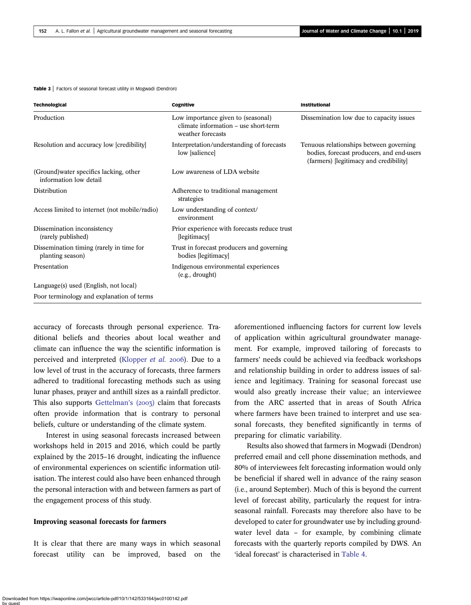<span id="page-10-0"></span>Table 3 | Factors of seasonal forecast utility in Mogwadi (Dendron)

| <b>Technological</b>                                              | Cognitive                                                                                       | <b>Institutional</b>                                                                                                           |
|-------------------------------------------------------------------|-------------------------------------------------------------------------------------------------|--------------------------------------------------------------------------------------------------------------------------------|
| Production                                                        | Low importance given to (seasonal)<br>climate information – use short-term<br>weather forecasts | Dissemination low due to capacity issues                                                                                       |
| Resolution and accuracy low [credibility]                         | Interpretation/understanding of forecasts<br>low [salience]                                     | Tenuous relationships between governing<br>bodies, forecast producers, and end-users<br>(farmers) [legitimacy and credibility] |
| (Ground) water specifics lacking, other<br>information low detail | Low awareness of LDA website                                                                    |                                                                                                                                |
| Distribution                                                      | Adherence to traditional management<br>strategies                                               |                                                                                                                                |
| Access limited to internet (not mobile/radio)                     | Low understanding of context/<br>environment                                                    |                                                                                                                                |
| Dissemination inconsistency<br>(rarely published)                 | Prior experience with forecasts reduce trust<br>[legitimacy]                                    |                                                                                                                                |
| Dissemination timing (rarely in time for<br>planting season)      | Trust in forecast producers and governing<br>bodies [legitimacy]                                |                                                                                                                                |
| Presentation                                                      | Indigenous environmental experiences<br>(e.g., drought)                                         |                                                                                                                                |
| Language(s) used (English, not local)                             |                                                                                                 |                                                                                                                                |
| Poor terminology and explanation of terms                         |                                                                                                 |                                                                                                                                |

accuracy of forecasts through personal experience. Traditional beliefs and theories about local weather and climate can influence the way the scientific information is perceived and interpreted [\(Klopper](#page-14-0) et al. 2006). Due to a low level of trust in the accuracy of forecasts, three farmers adhered to traditional forecasting methods such as using lunar phases, prayer and anthill sizes as a rainfall predictor. This also supports [Gettelman](#page-14-0)'s  $(2003)$  claim that forecasts often provide information that is contrary to personal beliefs, culture or understanding of the climate system.

Interest in using seasonal forecasts increased between workshops held in 2015 and 2016, which could be partly explained by the 2015–16 drought, indicating the influence of environmental experiences on scientific information utilisation. The interest could also have been enhanced through the personal interaction with and between farmers as part of the engagement process of this study.

#### Improving seasonal forecasts for farmers

It is clear that there are many ways in which seasonal forecast utility can be improved, based on the aforementioned influencing factors for current low levels of application within agricultural groundwater management. For example, improved tailoring of forecasts to farmers' needs could be achieved via feedback workshops and relationship building in order to address issues of salience and legitimacy. Training for seasonal forecast use would also greatly increase their value; an interviewee from the ARC asserted that in areas of South Africa where farmers have been trained to interpret and use seasonal forecasts, they benefited significantly in terms of preparing for climatic variability.

Results also showed that farmers in Mogwadi (Dendron) preferred email and cell phone dissemination methods, and 80% of interviewees felt forecasting information would only be beneficial if shared well in advance of the rainy season (i.e., around September). Much of this is beyond the current level of forecast ability, particularly the request for intraseasonal rainfall. Forecasts may therefore also have to be developed to cater for groundwater use by including groundwater level data – for example, by combining climate forecasts with the quarterly reports compiled by DWS. An 'ideal forecast' is characterised in [Table 4.](#page-11-0)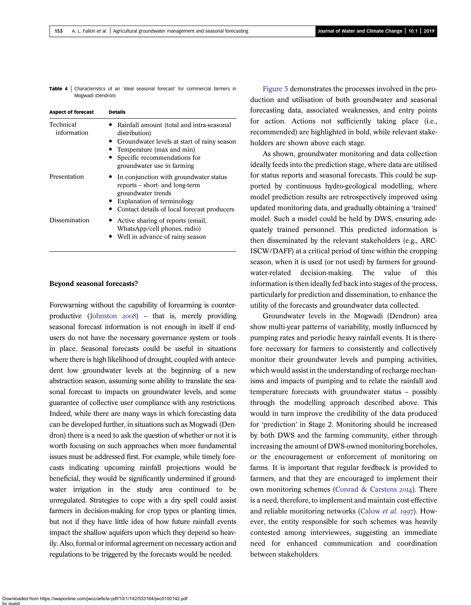<span id="page-11-0"></span>Table 4 | Characteristics of an 'ideal seasonal forecast' for commercial farmers in Mogwadi (Dendron)

| <b>Aspect of forecast</b> | <b>Details</b>                                                                                                                                                                                         |  |  |
|---------------------------|--------------------------------------------------------------------------------------------------------------------------------------------------------------------------------------------------------|--|--|
| Technical<br>information  | Rainfall amount (total and intra-seasonal<br>distribution)<br>• Groundwater levels at start of rainy season<br>Temperature (max and min)<br>Specific recommendations for<br>groundwater use in farming |  |  |
| Presentation              | In conjunction with groundwater status<br>reports – short- and long-term<br>groundwater trends<br>Explanation of terminology<br>Contact details of local forecast producers                            |  |  |
| Dissemination             | Active sharing of reports (email,<br>WhatsApp/cell phones, radio)<br>Well in advance of rainy season                                                                                                   |  |  |

#### Beyond seasonal forecasts?

Forewarning without the capability of forearming is counter-productive ([Johnston](#page-14-0)  $2008$ ) – that is, merely providing seasonal forecast information is not enough in itself if endusers do not have the necessary governance system or tools in place. Seasonal forecasts could be useful in situations where there is high likelihood of drought, coupled with antecedent low groundwater levels at the beginning of a new abstraction season, assuming some ability to translate the seasonal forecast to impacts on groundwater levels, and some guarantee of collective user compliance with any restrictions. Indeed, while there are many ways in which forecasting data can be developed further, in situations such as Mogwadi (Dendron) there is a need to ask the question of whether or not it is worth focusing on such approaches when more fundamental issues must be addressed first. For example, while timely forecasts indicating upcoming rainfall projections would be beneficial, they would be significantly undermined if groundwater irrigation in the study area continued to be unregulated. Strategies to cope with a dry spell could assist farmers in decision-making for crop types or planting times, but not if they have little idea of how future rainfall events impact the shallow aquifers upon which they depend so heavily. Also, formal or informal agreement on necessary action and regulations to be triggered by the forecasts would be needed.

[Figure 5](#page-12-0) demonstrates the processes involved in the production and utilisation of both groundwater and seasonal forecasting data, associated weaknesses, and entry points for action. Actions not sufficiently taking place (i.e., recommended) are highlighted in bold, while relevant stakeholders are shown above each stage.

As shown, groundwater monitoring and data collection ideally feeds into the prediction stage, where data are utilised for status reports and seasonal forecasts. This could be supported by continuous hydro-geological modelling, where model prediction results are retrospectively improved using updated monitoring data, and gradually obtaining a 'trained' model. Such a model could be held by DWS, ensuring adequately trained personnel. This predicted information is then disseminated by the relevant stakeholders (e.g., ARC-ISCW/DAFF) at a critical period of time within the cropping season, when it is used (or not used) by farmers for groundwater-related decision-making. The value of this information is then ideally fed back into stages of the process, particularly for prediction and dissemination, to enhance the utility of the forecasts and groundwater data collected.

Groundwater levels in the Mogwadi (Dendron) area show multi-year patterns of variability, mostly influenced by pumping rates and periodic heavy rainfall events. It is therefore necessary for farmers to consistently and collectively monitor their groundwater levels and pumping activities, which would assist in the understanding of recharge mechanisms and impacts of pumping and to relate the rainfall and temperature forecasts with groundwater status – possibly through the modelling approach described above. This would in turn improve the credibility of the data produced for 'prediction' in Stage 2. Monitoring should be increased by both DWS and the farming community, either through increasing the amount of DWS-owned monitoring boreholes, or the encouragement or enforcement of monitoring on farms. It is important that regular feedback is provided to farmers, and that they are encouraged to implement their own monitoring schemes ([Conrad & Carstens](#page-14-0)  $20I4$ ). There is a need, therefore, to implement and maintain cost-effective and reliable monitoring networks [\(Calow](#page-13-0) et al. 1997). However, the entity responsible for such schemes was heavily contested among interviewees, suggesting an immediate need for enhanced communication and coordination between stakeholders.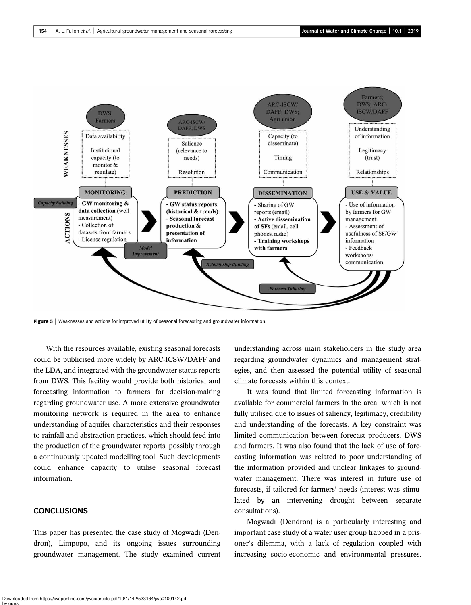<span id="page-12-0"></span>

Figure 5 | Weaknesses and actions for improved utility of seasonal forecasting and groundwater information.

With the resources available, existing seasonal forecasts could be publicised more widely by ARC-ICSW/DAFF and the LDA, and integrated with the groundwater status reports from DWS. This facility would provide both historical and forecasting information to farmers for decision-making regarding groundwater use. A more extensive groundwater monitoring network is required in the area to enhance understanding of aquifer characteristics and their responses to rainfall and abstraction practices, which should feed into the production of the groundwater reports, possibly through a continuously updated modelling tool. Such developments could enhance capacity to utilise seasonal forecast information.

# **CONCLUSIONS**

This paper has presented the case study of Mogwadi (Dendron), Limpopo, and its ongoing issues surrounding groundwater management. The study examined current understanding across main stakeholders in the study area regarding groundwater dynamics and management strategies, and then assessed the potential utility of seasonal climate forecasts within this context.

It was found that limited forecasting information is available for commercial farmers in the area, which is not fully utilised due to issues of saliency, legitimacy, credibility and understanding of the forecasts. A key constraint was limited communication between forecast producers, DWS and farmers. It was also found that the lack of use of forecasting information was related to poor understanding of the information provided and unclear linkages to groundwater management. There was interest in future use of forecasts, if tailored for farmers' needs (interest was stimulated by an intervening drought between separate consultations).

Mogwadi (Dendron) is a particularly interesting and important case study of a water user group trapped in a prisoner's dilemma, with a lack of regulation coupled with increasing socio-economic and environmental pressures.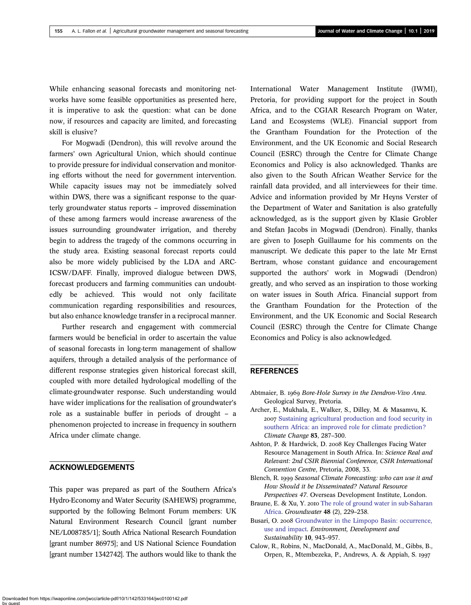<span id="page-13-0"></span>While enhancing seasonal forecasts and monitoring networks have some feasible opportunities as presented here, it is imperative to ask the question: what can be done now, if resources and capacity are limited, and forecasting skill is elusive?

For Mogwadi (Dendron), this will revolve around the farmers' own Agricultural Union, which should continue to provide pressure for individual conservation and monitoring efforts without the need for government intervention. While capacity issues may not be immediately solved within DWS, there was a significant response to the quarterly groundwater status reports – improved dissemination of these among farmers would increase awareness of the issues surrounding groundwater irrigation, and thereby begin to address the tragedy of the commons occurring in the study area. Existing seasonal forecast reports could also be more widely publicised by the LDA and ARC-ICSW/DAFF. Finally, improved dialogue between DWS, forecast producers and farming communities can undoubtedly be achieved. This would not only facilitate communication regarding responsibilities and resources, but also enhance knowledge transfer in a reciprocal manner.

Further research and engagement with commercial farmers would be beneficial in order to ascertain the value of seasonal forecasts in long-term management of shallow aquifers, through a detailed analysis of the performance of different response strategies given historical forecast skill, coupled with more detailed hydrological modelling of the climate-groundwater response. Such understanding would have wider implications for the realisation of groundwater's role as a sustainable buffer in periods of drought – a phenomenon projected to increase in frequency in southern Africa under climate change.

# ACKNOWLEDGEMENTS

This paper was prepared as part of the Southern Africa's Hydro-Economy and Water Security (SAHEWS) programme, supported by the following Belmont Forum members: UK Natural Environment Research Council [grant number NE/L008785/1]; South Africa National Research Foundation [grant number 86975]; and US National Science Foundation [grant number 1342742]. The authors would like to thank the

International Water Management Institute (IWMI), Pretoria, for providing support for the project in South Africa, and to the CGIAR Research Program on Water, Land and Ecosystems (WLE). Financial support from the Grantham Foundation for the Protection of the Environment, and the UK Economic and Social Research Council (ESRC) through the Centre for Climate Change Economics and Policy is also acknowledged. Thanks are also given to the South African Weather Service for the rainfall data provided, and all interviewees for their time. Advice and information provided by Mr Heyns Verster of the Department of Water and Sanitation is also gratefully acknowledged, as is the support given by Klasie Grobler and Stefan Jacobs in Mogwadi (Dendron). Finally, thanks are given to Joseph Guillaume for his comments on the manuscript. We dedicate this paper to the late Mr Ernst Bertram, whose constant guidance and encouragement supported the authors' work in Mogwadi (Dendron) greatly, and who served as an inspiration to those working on water issues in South Africa. Financial support from the Grantham Foundation for the Protection of the Environment, and the UK Economic and Social Research Council (ESRC) through the Centre for Climate Change Economics and Policy is also acknowledged.

#### REFERENCES

- Abtmaier, B. 1969 Bore-Hole Survey in the Dendron-Vivo Area. Geological Survey, Pretoria.
- Archer, E., Mukhala, E., Walker, S., Dilley, M. & Masamvu, K. 2007 [Sustaining agricultural production and food security in](http://dx.doi.org/10.1007/s10584-006-9192-5) [southern Africa: an improved role for climate prediction?](http://dx.doi.org/10.1007/s10584-006-9192-5) Climate Change 83, 287–300.
- Ashton, P. & Hardwick, D. 2008 Key Challenges Facing Water Resource Management in South Africa. In: Science Real and Relevant: 2nd CSIR Biennial Conference, CSIR International Convention Centre, Pretoria, 2008, 33.
- Blench, R. 1999 Seasonal Climate Forecasting: who can use it and How Should it be Disseminated? Natural Resource Perspectives 47. Overseas Development Institute, London.
- Braune, E. & Xu, Y. 2010 [The role of ground water in sub-Saharan](http://dx.doi.org/10.1111/j.1745-6584.2009.00557.x) [Africa](http://dx.doi.org/10.1111/j.1745-6584.2009.00557.x). Groundwater 48 (2), 229–238.
- Busari, O. 2008 [Groundwater in the Limpopo Basin: occurrence,](http://dx.doi.org/10.1007/s10668-007-9094-3) [use and impact](http://dx.doi.org/10.1007/s10668-007-9094-3). Environment, Development and Sustainability 10, 943–957.
- Calow, R., Robins, N., MacDonald, A., MacDonald, M., Gibbs, B., Orpen, R., Mtembezeka, P., Andrews, A. & Appiah, S.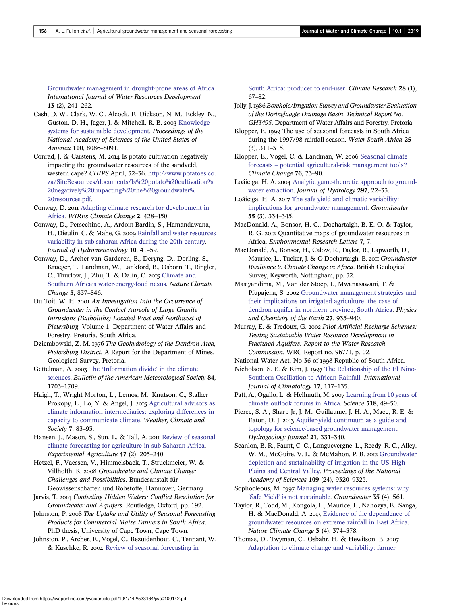<span id="page-14-0"></span>[Groundwater management in drought-prone areas of Africa](http://dx.doi.org/10.1080/07900629749863). International Journal of Water Resources Development 13 (2), 241–262.

- Cash, D. W., Clark, W. C., Alcock, F., Dickson, N. M., Eckley, N., Guston, D. H., Jager, J. & Mitchell, R. B. 2003 [Knowledge](http://dx.doi.org/10.1073/pnas.1231332100) [systems for sustainable development](http://dx.doi.org/10.1073/pnas.1231332100). Proceedings of the National Academy of Sciences of the United States of America 100, 8086–8091.
- Conrad, J. & Carstens, M. 2014 Is potato cultivation negatively impacting the groundwater resources of the sandveld, western cape? CHIPS April, 32–36. [http://www.potatoes.co.](http://www.potatoes.co.za/SiteResources/documents/Is%20potato%20cultivation%20negatively%20impacting%20the%20groundwater%20resources.pdf) [za/SiteResources/documents/Is%20potato%20cultivation%](http://www.potatoes.co.za/SiteResources/documents/Is%20potato%20cultivation%20negatively%20impacting%20the%20groundwater%20resources.pdf) [20negatively%20impacting%20the%20groundwater%](http://www.potatoes.co.za/SiteResources/documents/Is%20potato%20cultivation%20negatively%20impacting%20the%20groundwater%20resources.pdf) [20resources.pdf.](http://www.potatoes.co.za/SiteResources/documents/Is%20potato%20cultivation%20negatively%20impacting%20the%20groundwater%20resources.pdf)
- Conway, D. 2011 [Adapting climate research for development in](http://dx.doi.org/10.1002/wcc.115) [Africa.](http://dx.doi.org/10.1002/wcc.115) WIREs Climate Change 2, 428–450.
- Conway, D., Persechino, A., Ardoin-Bardin, S., Hamandawana, H., Dieulin, C. & Mahe, G. 2009 [Rainfall and water resources](http://dx.doi.org/10.1175/2008JHM1004.1) [variability in sub-saharan Africa during the 20th century.](http://dx.doi.org/10.1175/2008JHM1004.1) Journal of Hydrometeorology 10, 41–59.
- Conway, D., Archer van Garderen, E., Deryng, D., Dorling, S., Krueger, T., Landman, W., Lankford, B., Osborn, T., Ringler, C., Thurlow, J., Zhu, T. & Dalin, C. 2015 [Climate and](http://dx.doi.org/10.1038/nclimate2735) Southern Africa'[s water-energy-food nexus.](http://dx.doi.org/10.1038/nclimate2735) Nature Climate Change 5, 837–846.
- Du Toit, W. H. 2001 An Investigation Into the Occurrence of Groundwater in the Contact Aureole of Large Granite Intrusions (Batholiths) Located West and Northwest of Pietersburg. Volume 1, Department of Water Affairs and Forestry, Pretoria, South Africa.
- Dziembowski, Z. M. 1976 The Geohydrology of the Dendron Area, Pietersburg District. A Report for the Department of Mines. Geological Survey, Pretoria.
- Gettelman, A. 2003 The '[Information divide](http://dx.doi.org/10.1175/BAMS-84-12-1703)' in the climate [sciences](http://dx.doi.org/10.1175/BAMS-84-12-1703). Bulletin of the American Meteorological Society 84, 1703–1709.
- Haigh, T., Wright Morton, L., Lemos, M., Knutson, C., Stalker Prokopy, L., Lo, Y. & Angel, J. 2015 [Agricultural advisors as](http://dx.doi.org/10.1175/WCAS-D-14-00015.1) [climate information intermediaries: exploring differences in](http://dx.doi.org/10.1175/WCAS-D-14-00015.1) [capacity to communicate climate](http://dx.doi.org/10.1175/WCAS-D-14-00015.1). Weather, Climate and Society 7, 83–93.
- Hansen, J., Mason, S., Sun, L. & Tall, A. 2011 [Review of seasonal](http://dx.doi.org/10.1017/S0014479710000876) [climate forecasting for agriculture in sub-Saharan Africa.](http://dx.doi.org/10.1017/S0014479710000876) Experimental Agriculture 47 (2), 205–240.
- Hetzel, F., Vaessen, V., Himmelsback, T., Struckmeier, W. & Villholth, K. 2008 Groundwater and Climate Change: Challenges and Possibilities. Bundesanstalt für Geowissenschaften und Rohstoffe, Hannover, Germany.
- Jarvis, T. 2014 Contesting Hidden Waters: Conflict Resolution for Groundwater and Aquifers. Routledge, Oxford, pp. 192.
- Johnston, P. 2008 The Uptake and Utility of Seasonal Forecasting Products for Commercial Maize Farmers in South Africa. PhD thesis, University of Cape Town, Cape Town.
- Johnston, P., Archer, E., Vogel, C., Bezuidenhout, C., Tennant, W. & Kuschke, R. 2004 [Review of seasonal forecasting in](http://dx.doi.org/10.3354/cr028067)

[South Africa: producer to end-user.](http://dx.doi.org/10.3354/cr028067) Climate Research 28 (1), 67–82.

- Jolly, J. 1986 Borehole/Irrigation Survey and Groundwater Evaluation of the Doringlaagte Drainage Basin. Technical Report No. GH3495. Department of Water Affairs and Forestry, Pretoria.
- Klopper, E. 1999 The use of seasonal forecasts in South Africa during the 1997/98 rainfall season. Water South Africa 25 (3), 311–315.
- Klopper, E., Vogel, C. & Landman, W. 2006 [Seasonal climate](http://dx.doi.org/10.1007/s10584-005-9019-9) forecasts – [potential agricultural-risk management tools?](http://dx.doi.org/10.1007/s10584-005-9019-9) Climate Change 76, 73–90.
- Loáiciga, H. A. 2004 [Analytic game-theoretic approach to ground](http://dx.doi.org/10.1016/j.jhydrol.2004.04.006)[water extraction](http://dx.doi.org/10.1016/j.jhydrol.2004.04.006). Journal of Hydrology 297, 22–33.
- Loáiciga, H. A. 2017 [The safe yield and climatic variability:](http://dx.doi.org/10.1111/gwat.12481) [implications for groundwater management.](http://dx.doi.org/10.1111/gwat.12481) Groundwater 55 (3), 334–345.
- MacDonald, A., Bonsor, H. C., Dochartaigh, B. E. O. & Taylor, R. G. 2012 Quantitative maps of groundwater resources in Africa. Environmental Research Letters 7, 7.
- MacDonald, A., Bonsor, H., Calow, R., Taylor, R., Lapworth, D., Maurice, L., Tucker, J. & O Dochartaigh, B. 2011 Groundwater Resilience to Climate Change in Africa. British Geological Survey, Keyworth, Nottingham, pp. 32.
- Masiyandima, M., Van der Stoep, I., Mwanasawani, T. & Pfupajena, S. 2002 [Groundwater management strategies and](http://dx.doi.org/10.1016/S1474-7065(02)00096-7) [their implications on irrigated agriculture: the case of](http://dx.doi.org/10.1016/S1474-7065(02)00096-7) [dendron aquifer in northern province, South Africa](http://dx.doi.org/10.1016/S1474-7065(02)00096-7). Physics and Chemistry of the Earth 27, 935–940.
- Murray, E. & Tredoux, G. 2002 Pilot Artificial Recharge Schemes: Testing Sustainable Water Resource Development in Fractured Aquifers: Report to the Water Research Commission. WRC Report no. 967/1, p. 02.
- National Water Act, No 36 of 1998 Republic of South Africa.
- Nicholson, S. E. & Kim, J. 1997 [The Relationship of the El Nino-](http://dx.doi.org/10.1002/(SICI)1097-0088(199702)17:2%3C117::AID-JOC84%3E3.0.CO;2-O)[Southern Oscillation to African Rainfall.](http://dx.doi.org/10.1002/(SICI)1097-0088(199702)17:2%3C117::AID-JOC84%3E3.0.CO;2-O) International Journal of Climatology 17, 117–135.
- Patt, A., Ogallo, L. & Hellmuth, M. 2007 [Learning from 10 years of](http://dx.doi.org/10.1126/science.1147909) [climate outlook forums in Africa](http://dx.doi.org/10.1126/science.1147909). Science 318, 49–50.
- Pierce, S. A., Sharp Jr, J. M., Guillaume, J. H. A., Mace, R. E. & Eaton, D. J. 2013 [Aquifer-yield continuum as a guide and](http://dx.doi.org/10.1007/s10040-012-0910-y) [topology for science-based groundwater management](http://dx.doi.org/10.1007/s10040-012-0910-y). Hydrogeology Journal 21, 331–340.
- Scanlon, B. R., Faunt, C. C., Longuevergne, L., Reedy, R. C., Alley, W. M., McGuire, V. L. & McMahon, P. B. 2012 [Groundwater](http://dx.doi.org/10.1073/pnas.1200311109) [depletion and sustainability of irrigation in the US High](http://dx.doi.org/10.1073/pnas.1200311109) [Plains and Central Valley.](http://dx.doi.org/10.1073/pnas.1200311109) Proceedings of the National Academy of Sciences 109 (24), 9320–9325.
- Sophocleous, M. 1997 [Managing water resources systems: why](http://dx.doi.org/10.1111/j.1745-6584.1997.tb00116.x) 'Safe Yield' [is not sustainable.](http://dx.doi.org/10.1111/j.1745-6584.1997.tb00116.x) Groundwater 35 (4), 561.
- Taylor, R., Todd, M., Kongola, L., Maurice, L., Nahozya, E., Sanga, H. & MacDonald, A. 2013 [Evidence of the dependence of](http://dx.doi.org/10.1038/nclimate1731) [groundwater resources on extreme rainfall in East Africa.](http://dx.doi.org/10.1038/nclimate1731) Nature Climate Change 3 (4), 374–378.
- Thomas, D., Twyman, C., Osbahr, H. & Hewitson, B. [Adaptation to climate change and variability: farmer](http://dx.doi.org/10.1007/s10584-006-9205-4)